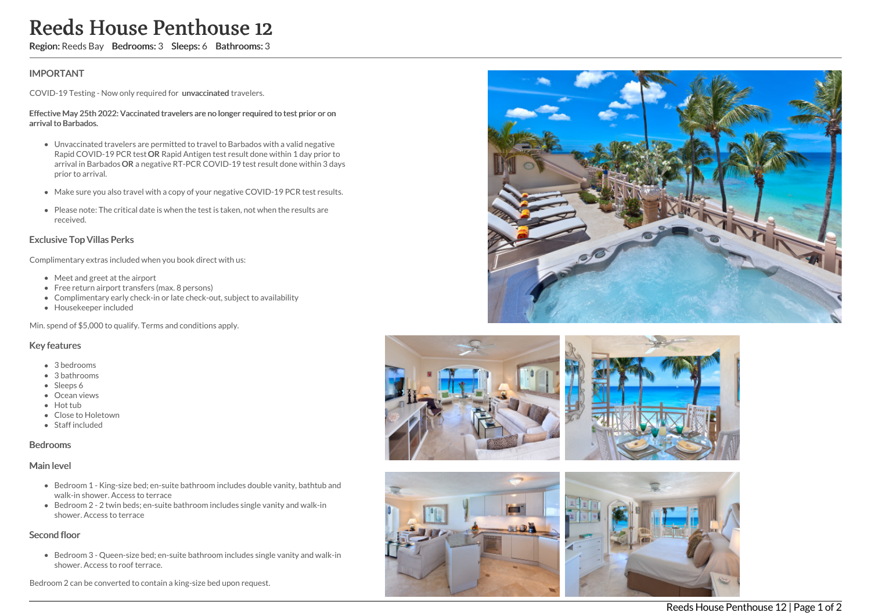# Reeds House Penthouse 12

Region: Reeds Bay Bedrooms: 3 Sleeps: 6 Bathrooms: 3

## IMPORTANT

COVID-19 Testing - Now only required for unvaccinated travelers.

#### Effective May 25th 2022: Vaccinated travelers are no longer required to test prior or on arrival to Barbados.

- Unvaccinated travelers are permitted to travel to Barbados with a valid negative Rapid COVID-19 PCR test OR Rapid Antigen test result done within 1 day prior to arrival in Barbados OR a negative RT-PCR COVID-19 test result done within 3 days prior to arrival.
- Make sure you also travel with a copy of your negative COVID-19 PCR test results.
- Please note: The critical date is when the test is taken, not when the results are received.

### Exclusive Top Villas Perks

Complimentary extras included when you book direct with us:

- Meet and greet at the airport
- Free return airport transfers (max. 8 persons)
- Complimentary early check-in or late check-out, subject to availability
- Housekeeper included

Min. spend of \$5,000 to qualify. Terms and conditions apply.

### Key features

- 3 bedrooms
- 3 bathrooms
- Sleeps 6
- Ocean views
- Hot tub
- Close to Holetown
- Staff included

#### Bedrooms

#### Main level

- Bedroom 1 King-size bed; en-suite bathroom includes double vanity, bathtub and walk-in shower. Access to terrace
- Bedroom 2 2 twin beds; en-suite bathroom includes single vanity and walk-in shower. Access to terrace

## Second floor

Bedroom 3 - Queen-size bed; en-suite bathroom includes single vanity and walk-in shower. Access to roof terrace.

Bedroom 2 can be converted to contain a king-size bed upon request.